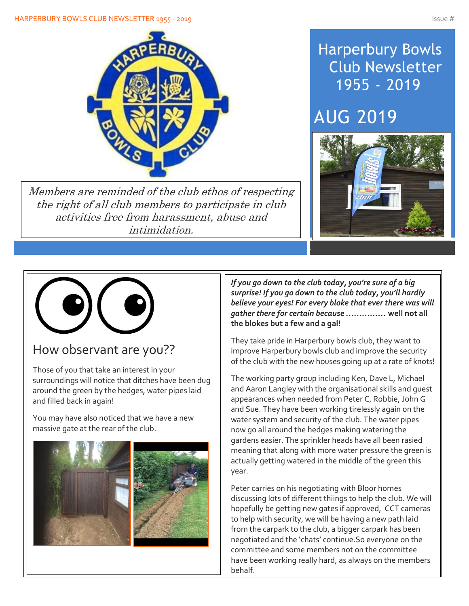

Members are reminded of the club ethos of respecting the right of all club members to participate in club activities free from harassment, abuse and intimidation.

## Harperbury Bowls Club Newsletter 1955 - 2019

## AUG 2019





## How observant are you??

Those of you that take an interest in your surroundings will notice that ditches have been dug around the green by the hedges, water pipes laid and filled back in again!

You may have also noticed that we have a new massive gate at the rear of the club.



Ī

*If you go down to the club today, you're sure of a big surprise! If you go down to the club today, you'll hardly believe your eyes! For every bloke that ever there was will gather there for certain because ……………* **well not all the blokes but a few and a gal!**

They take pride in Harperbury bowls club, they want to improve Harperbury bowls club and improve the security of the club with the new houses going up at a rate of knots!

The working party group including Ken, Dave L, Michael and Aaron Langley with the organisational skills and guest appearances when needed from Peter C, Robbie, John G and Sue. They have been working tirelessly again on the water system and security of the club. The water pipes now go all around the hedges making watering the gardens easier. The sprinkler heads have all been rasied meaning that along with more water pressure the green is actually getting watered in the middle of the green this year.

Peter carries on his negotiating with Bloor homes discussing lots of different thiings to help the club. We will hopefully be getting new gates if approved, CCT cameras to help with security, we will be having a new path laid from the carpark to the club, a bigger carpark has been negotiated and the 'chats' continue.So everyone on the committee and some members not on the committee have been working really hard, as always on the members behalf.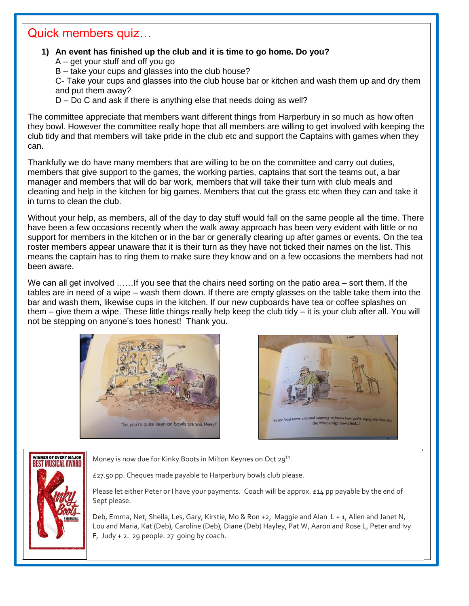### Quick members quiz…

Í

#### **1) An event has finished up the club and it is time to go home. Do you?**

- A get your stuff and off you go
- B take your cups and glasses into the club house?

C- Take your cups and glasses into the club house bar or kitchen and wash them up and dry them and put them away?

D – Do C and ask if there is anything else that needs doing as well?

The committee appreciate that members want different things from Harperbury in so much as how often they bowl. However the committee really hope that all members are willing to get involved with keeping the club tidy and that members will take pride in the club etc and support the Captains with games when they can.

Thankfully we do have many members that are willing to be on the committee and carry out duties, members that give support to the games, the working parties, captains that sort the teams out, a bar manager and members that will do bar work, members that will take their turn with club meals and cleaning and help in the kitchen for big games. Members that cut the grass etc when they can and take it in turns to clean the club.

Without your help, as members, all of the day to day stuff would fall on the same people all the time. There have been a few occasions recently when the walk away approach has been very evident with little or no support for members in the kitchen or in the bar or generally clearing up after games or events. On the tea roster members appear unaware that it is their turn as they have not ticked their names on the list. This means the captain has to ring them to make sure they know and on a few occasions the members had not been aware.

We can all get involved ...... If you see that the chairs need sorting on the patio area – sort them. If the tables are in need of a wipe – wash them down. If there are empty glasses on the table take them into the bar and wash them, likewise cups in the kitchen. If our new cupboards have tea or coffee splashes on them – give them a wipe. These little things really help keep the club tidy – it is your club after all. You will not be stepping on anyone's toes honest! Thank you.







Money is now due for Kinky Boots in Milton Keynes on Oct 29<sup>th</sup>.

£27.50 pp. Cheques made payable to Harperbury bowls club please.

Please let either Peter or I have your payments. Coach will be approx. £14 pp payable by the end of Sept please.

Deb, Emma, Net, Sheila, Les, Gary, Kirstie, Mo & Ron +2, Maggie and Alan L + 1, Allen and Janet N, Lou and Maria, Kat (Deb), Caroline (Deb), Diane (Deb) Hayley, Pat W, Aaron and Rose L, Peter and Ivy F, Judy  $+$  2. 29 people. 27 going by coach.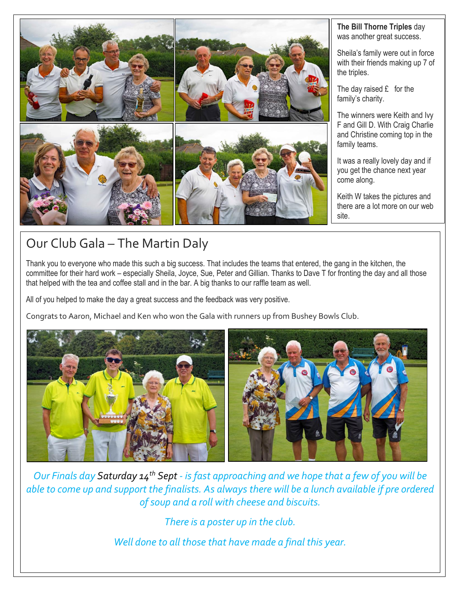

#### **The Bill Thorne Triples** day was another great success.

Sheila's family were out in force with their friends making up 7 of the triples.

The day raised  $E$  for the family's charity.

The winners were Keith and Ivy F and Gill D. With Craig Charlie and Christine coming top in the family teams.

It was a really lovely day and if you get the chance next year come along.

Keith W takes the pictures and there are a lot more on our web site.

## Our Club Gala – The Martin Daly

Thank you to everyone who made this such a big success. That includes the teams that entered, the gang in the kitchen, the committee for their hard work – especially Sheila, Joyce, Sue, Peter and Gillian. Thanks to Dave T for fronting the day and all those that helped with the tea and coffee stall and in the bar. A big thanks to our raffle team as well.

All of you helped to make the day a great success and the feedback was very positive.

Congrats to Aaron, Michael and Ken who won the Gala with runners up from Bushey Bowls Club.



*Our Finals day Saturday 14th Sept - is fast approaching and we hope that a few of you will be able to come up and support the finalists. As always there will be a lunch available if pre ordered of soup and a roll with cheese and biscuits.*

*There is a poster up in the club.*

*Well done to all those that have made a final this year.*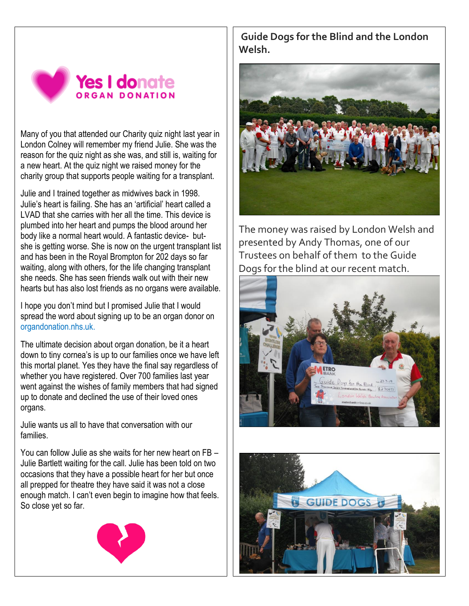

Many of you that attended our Charity quiz night last year in London Colney will remember my friend Julie. She was the reason for the quiz night as she was, and still is, waiting for a new heart. At the quiz night we raised money for the charity group that supports people waiting for a transplant.

Julie and I trained together as midwives back in 1998. Julie's heart is failing. She has an 'artificial' heart called a LVAD that she carries with her all the time. This device is plumbed into her heart and pumps the blood around her body like a normal heart would. A fantastic device- butshe is getting worse. She is now on the urgent transplant list and has been in the Royal Brompton for 202 days so far waiting, along with others, for the life changing transplant she needs. She has seen friends walk out with their new hearts but has also lost friends as no organs were available.

I hope you don't mind but I promised Julie that I would spread the word about signing up to be an organ donor on organdonation.nhs.uk.

The ultimate decision about organ donation, be it a heart down to tiny cornea's is up to our families once we have left this mortal planet. Yes they have the final say regardless of whether you have registered. Over 700 families last year went against the wishes of family members that had signed up to donate and declined the use of their loved ones organs.

Julie wants us all to have that conversation with our families.

You can follow Julie as she waits for her new heart on FB – Julie Bartlett waiting for the call. Julie has been told on two occasions that they have a possible heart for her but once all prepped for theatre they have said it was not a close enough match. I can't even begin to imagine how that feels. So close yet so far.



**Guide Dogs for the Blind and the London Welsh.**



The money was raised by London Welsh and presented by Andy Thomas, one of our Trustees on behalf of them to the Guide Dogs for the blind at our recent match.